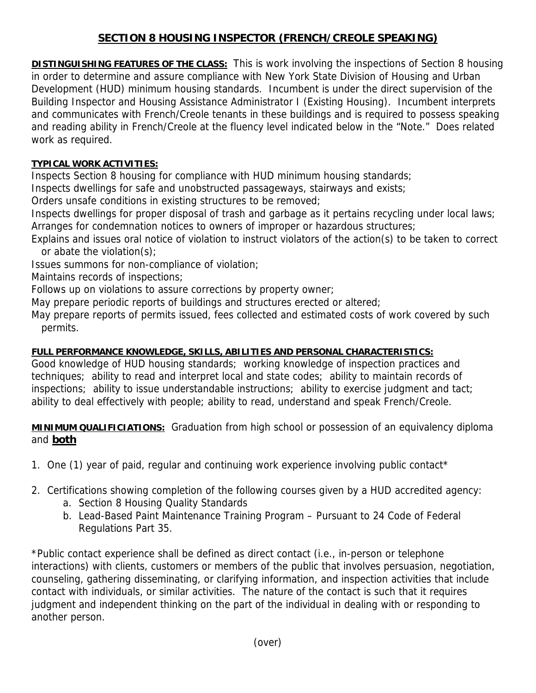# **SECTION 8 HOUSING INSPECTOR (FRENCH/CREOLE SPEAKING)**

**DISTINGUISHING FEATURES OF THE CLASS:** This is work involving the inspections of Section 8 housing in order to determine and assure compliance with New York State Division of Housing and Urban Development (HUD) minimum housing standards. Incumbent is under the direct supervision of the Building Inspector and Housing Assistance Administrator I (Existing Housing). Incumbent interprets and communicates with French/Creole tenants in these buildings and is required to possess speaking and reading ability in French/Creole at the fluency level indicated below in the "Note." Does related work as required.

## **TYPICAL WORK ACTIVITIES:**

Inspects Section 8 housing for compliance with HUD minimum housing standards;

Inspects dwellings for safe and unobstructed passageways, stairways and exists;

Orders unsafe conditions in existing structures to be removed;

Inspects dwellings for proper disposal of trash and garbage as it pertains recycling under local laws; Arranges for condemnation notices to owners of improper or hazardous structures;

Explains and issues oral notice of violation to instruct violators of the action(s) to be taken to correct or abate the violation(s);

Issues summons for non-compliance of violation;

Maintains records of inspections;

Follows up on violations to assure corrections by property owner;

May prepare periodic reports of buildings and structures erected or altered;

May prepare reports of permits issued, fees collected and estimated costs of work covered by such permits.

## **FULL PERFORMANCE KNOWLEDGE, SKILLS, ABILITIES AND PERSONAL CHARACTERISTICS:**

Good knowledge of HUD housing standards; working knowledge of inspection practices and techniques; ability to read and interpret local and state codes; ability to maintain records of inspections; ability to issue understandable instructions; ability to exercise judgment and tact; ability to deal effectively with people; ability to read, understand and speak French/Creole.

**MINIMUM QUALIFICIATIONS:** Graduation from high school or possession of an equivalency diploma and **both**

1. One (1) year of paid, regular and continuing work experience involving public contact\*

- 2. Certifications showing completion of the following courses given by a HUD accredited agency:
	- a. Section 8 Housing Quality Standards
	- b. Lead-Based Paint Maintenance Training Program Pursuant to 24 Code of Federal Regulations Part 35.

\*Public contact experience shall be defined as direct contact (i.e., in-person or telephone interactions) with clients, customers or members of the public that involves persuasion, negotiation, counseling, gathering disseminating, or clarifying information, and inspection activities that include contact with individuals, or similar activities. The nature of the contact is such that it requires judgment and independent thinking on the part of the individual in dealing with or responding to another person.